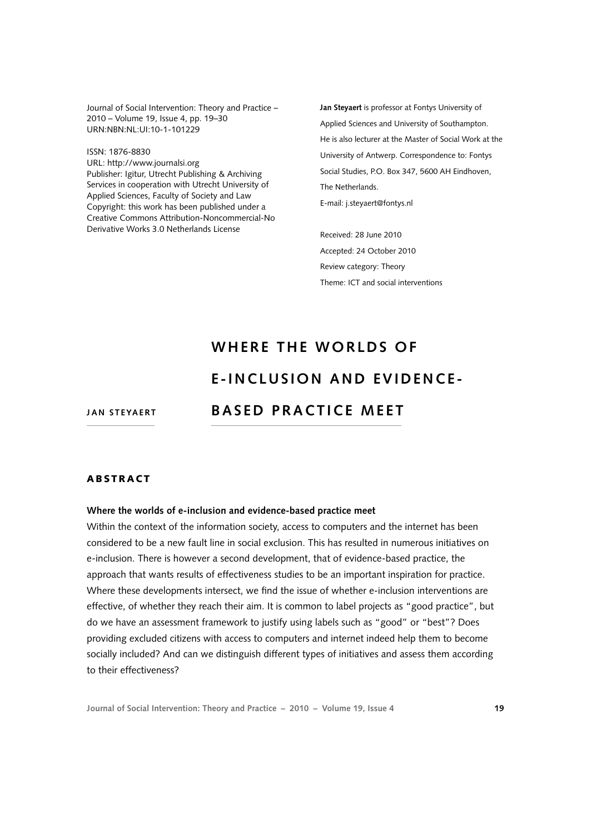Journal of Social Intervention: Theory and Practice – 2010 – Volume 19, Issue 4, pp. 19–30 URN:NBN:NL:UI:10-1-101229

ISSN: 1876-8830 URL: <http://www.journalsi.org> Publisher: Igitur, Utrecht Publishing & Archiving Services in cooperation with Utrecht University of Applied Sciences, Faculty of Society and Law Copyright: this work has been published under a Creative Commons Attribution-Noncommercial-No Derivative Works 3.0 Netherlands License

**Jan Steyaert** is professor at Fontys University of Applied Sciences and University of Southampton. He is also lecturer at the Master of Social Work at the University of Antwerp. Correspondence to: Fontys Social Studies, P.O. Box 347, 5600 AH Findhoven The Netherlands. E-mail: [j.steyaert@fontys.nl](mailto:j.steyaert@fontys.nl)

Received: 28 June 2010 Accepted: 24 October 2010 Review category: Theory Theme: ICT and social interventions

# **WHERE THE WORLDS OF E - INC L U S I O N AND EV I DENCE - BASED PRACTICE MEET**

**JAN STEYAERT** 

# **ABSTRACT**

#### **Where the worlds of e-inclusion and evidence-based practice meet**

Within the context of the information society, access to computers and the internet has been considered to be a new fault line in social exclusion. This has resulted in numerous initiatives on e-inclusion. There is however a second development, that of evidence-based practice, the approach that wants results of effectiveness studies to be an important inspiration for practice. Where these developments intersect, we find the issue of whether e-inclusion interventions are effective, of whether they reach their aim. It is common to label projects as "good practice", but do we have an assessment framework to justify using labels such as "good" or "best"? Does providing excluded citizens with access to computers and internet indeed help them to become socially included? And can we distinguish different types of initiatives and assess them according to their effectiveness?

**Journal of Social Intervention: Theory and Practice – 2010 – Volume 19, Issue 4 19**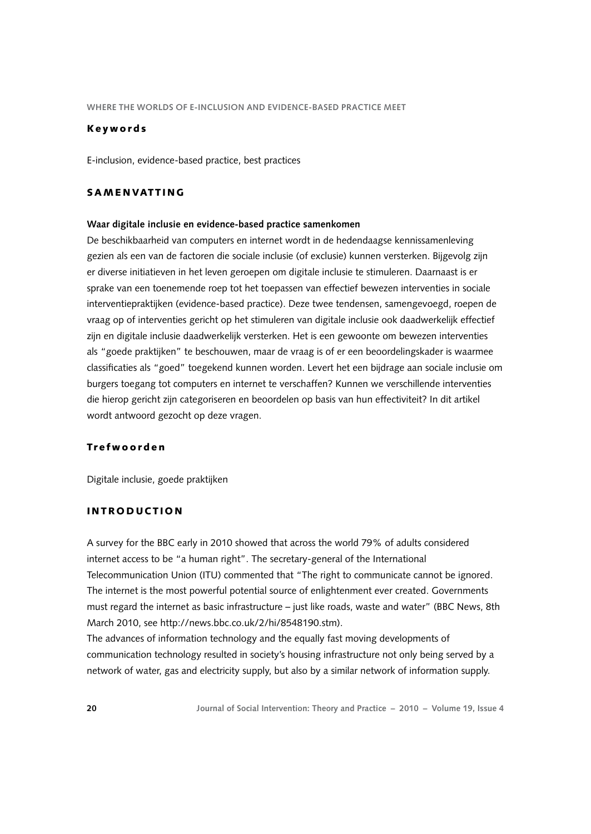#### K e y w o r d s

E-inclusion, evidence-based practice, best practices

# SAMENVATTING

#### **Waar digitale inclusie en evidence-based practice samenkomen**

De beschikbaarheid van computers en internet wordt in de hedendaagse kennissamenleving gezien als een van de factoren die sociale inclusie (of exclusie) kunnen versterken. Bijgevolg zijn er diverse initiatieven in het leven geroepen om digitale inclusie te stimuleren. Daarnaast is er sprake van een toenemende roep tot het toepassen van effectief bewezen interventies in sociale interventiepraktijken (evidence-based practice). Deze twee tendensen, samengevoegd, roepen de vraag op of interventies gericht op het stimuleren van digitale inclusie ook daadwerkelijk effectief zijn en digitale inclusie daadwerkelijk versterken. Het is een gewoonte om bewezen interventies als "goede praktijken" te beschouwen, maar de vraag is of er een beoordelingskader is waarmee classificaties als "goed" toegekend kunnen worden. Levert het een bijdrage aan sociale inclusie om burgers toegang tot computers en internet te verschaffen? Kunnen we verschillende interventies die hierop gericht zijn categoriseren en beoordelen op basis van hun effectiviteit? In dit artikel wordt antwoord gezocht op deze vragen.

## Tr e f w o o r d e n

Digitale inclusie, goede praktijken

## I N T R O D U C T I O N

A survey for the BBC early in 2010 showed that across the world 79% of adults considered internet access to be "a human right". The secretary-general of the International Telecommunication Union (ITU) commented that "The right to communicate cannot be ignored. The internet is the most powerful potential source of enlightenment ever created. Governments must regard the internet as basic infrastructure – just like roads, waste and water" (BBC News, 8th March 2010, see [http://news.bbc.co.uk/2/hi/8548190.stm\)](http://news.bbc.co.uk/2/hi/8548190.stm).

The advances of information technology and the equally fast moving developments of communication technology resulted in society's housing infrastructure not only being served by a network of water, gas and electricity supply, but also by a similar network of information supply.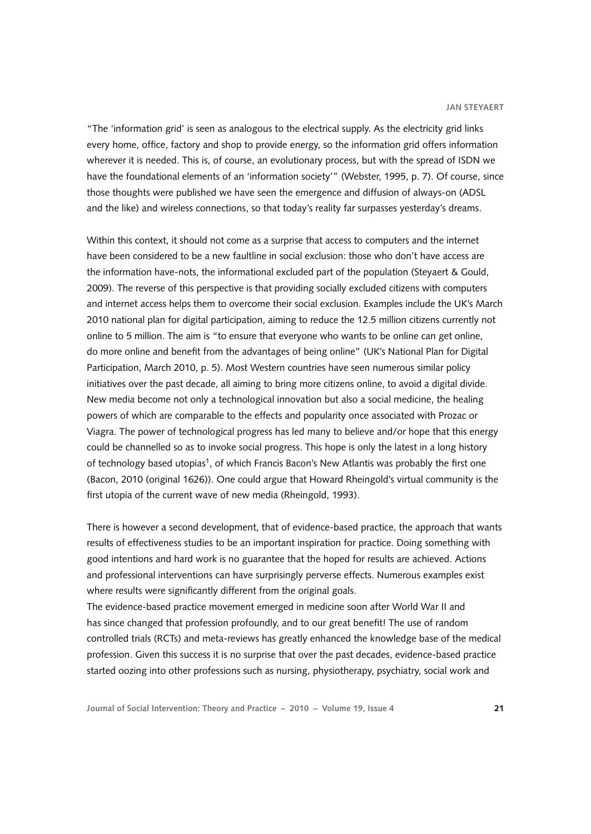"The 'information grid' is seen as analogous to the electrical supply. As the electricity grid links every home, office, factory and shop to provide energy, so the information grid offers information wherever it is needed. This is, of course, an evolutionary process, but with the spread of ISDN we have the foundational elements of an 'information society'" (Webster, 1995, p. 7). Of course, since those thoughts were published we have seen the emergence and diffusion of always-on (ADSL and the like) and wireless connections, so that today's reality far surpasses yesterday's dreams.

Within this context, it should not come as a surprise that access to computers and the internet have been considered to be a new faultline in social exclusion: those who don't have access are the information have-nots, the informational excluded part of the population (Steyaert & Gould, 2009). The reverse of this perspective is that providing socially excluded citizens with computers and internet access helps them to overcome their social exclusion. Examples include the UK's March 2010 national plan for digital participation, aiming to reduce the 12.5 million citizens currently not online to 5 million. The aim is "to ensure that everyone who wants to be online can get online, do more online and benefit from the advantages of being online" (UK's National Plan for Digital Participation, March 2010, p. 5). Most Western countries have seen numerous similar policy initiatives over the past decade, all aiming to bring more citizens online, to avoid a digital divide. New media become not only a technological innovation but also a social medicine, the healing powers of which are comparable to the effects and popularity once associated with Prozac or Viagra. The power of technological progress has led many to believe and/or hope that this energy could be channelled so as to invoke social progress. This hope is only the latest in a long history of technology based utopias[1,](#page-10-0) of which Francis Bacon's New Atlantis was probably the first one (Bacon, 2010 (original 1626)). One could argue that Howard Rheingold's virtual community is the first utopia of the current wave of new media (Rheingold, 1993).

There is however a second development, that of evidence-based practice, the approach that wants results of effectiveness studies to be an important inspiration for practice. Doing something with good intentions and hard work is no guarantee that the hoped for results are achieved. Actions and professional interventions can have surprisingly perverse effects. Numerous examples exist where results were significantly different from the original goals.

The evidence-based practice movement emerged in medicine soon after World War II and has since changed that profession profoundly, and to our great benefit! The use of random controlled trials (RCTs) and meta-reviews has greatly enhanced the knowledge base of the medical profession. Given this success it is no surprise that over the past decades, evidence-based practice started oozing into other professions such as nursing, physiotherapy, psychiatry, social work and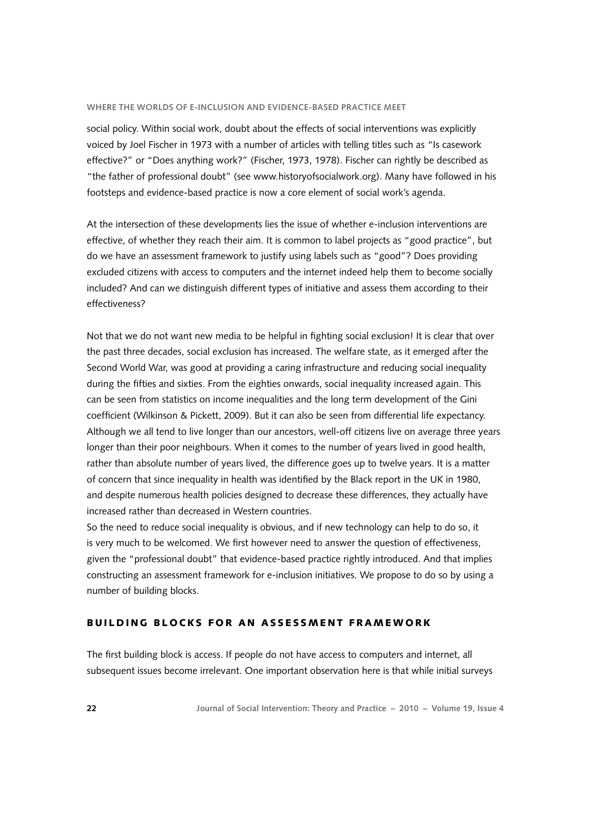social policy. Within social work, doubt about the effects of social interventions was explicitly voiced by Joel Fischer in 1973 with a number of articles with telling titles such as "Is casework effective?" or "Does anything work?" (Fischer, 1973, 1978). Fischer can rightly be described as "the father of professional doubt" (see [www.historyofsocialwork.org\)](www.historyofsocialwork.org). Many have followed in his footsteps and evidence-based practice is now a core element of social work's agenda.

At the intersection of these developments lies the issue of whether e-inclusion interventions are effective, of whether they reach their aim. It is common to label projects as "good practice", but do we have an assessment framework to justify using labels such as "good"? Does providing excluded citizens with access to computers and the internet indeed help them to become socially included? And can we distinguish different types of initiative and assess them according to their effectiveness?

Not that we do not want new media to be helpful in fighting social exclusion! It is clear that over the past three decades, social exclusion has increased. The welfare state, as it emerged after the Second World War, was good at providing a caring infrastructure and reducing social inequality during the fifties and sixties. From the eighties onwards, social inequality increased again. This can be seen from statistics on income inequalities and the long term development of the Gini coefficient (Wilkinson & Pickett, 2009). But it can also be seen from differential life expectancy. Although we all tend to live longer than our ancestors, well-off citizens live on average three years longer than their poor neighbours. When it comes to the number of years lived in good health, rather than absolute number of years lived, the difference goes up to twelve years. It is a matter of concern that since inequality in health was identified by the Black report in the UK in 1980, and despite numerous health policies designed to decrease these differences, they actually have increased rather than decreased in Western countries.

So the need to reduce social inequality is obvious, and if new technology can help to do so, it is very much to be welcomed. We first however need to answer the question of effectiveness, given the "professional doubt" that evidence-based practice rightly introduced. And that implies constructing an assessment framework for e-inclusion initiatives. We propose to do so by using a number of building blocks.

# BUILDING BLOCKS FOR AN ASSESSMENT FRAMEWORK

The first building block is access. If people do not have access to computers and internet, all subsequent issues become irrelevant. One important observation here is that while initial surveys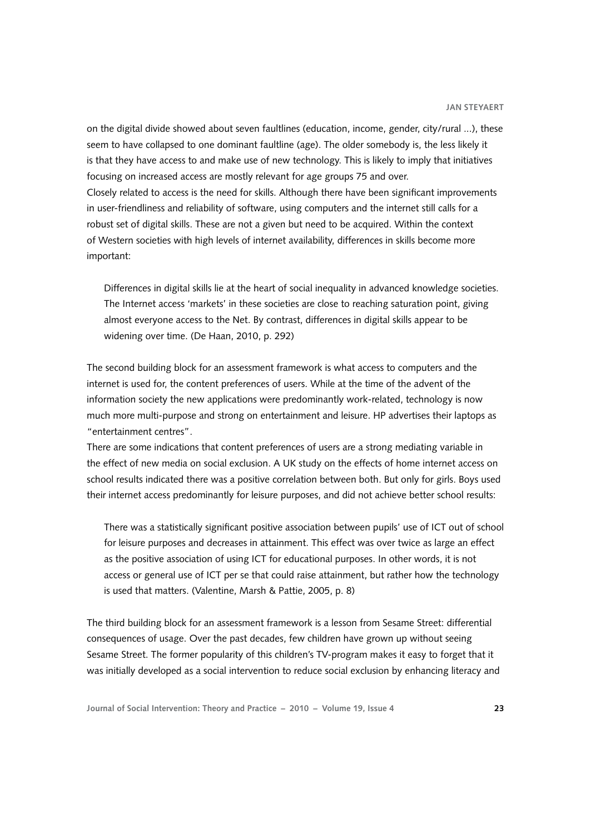on the digital divide showed about seven faultlines (education, income, gender, city/rural ...), these seem to have collapsed to one dominant faultline (age). The older somebody is, the less likely it is that they have access to and make use of new technology. This is likely to imply that initiatives focusing on increased access are mostly relevant for age groups 75 and over. Closely related to access is the need for skills. Although there have been significant improvements in user-friendliness and reliability of software, using computers and the internet still calls for a robust set of digital skills. These are not a given but need to be acquired. Within the context of Western societies with high levels of internet availability, differences in skills become more important:

Differences in digital skills lie at the heart of social inequality in advanced knowledge societies. The Internet access 'markets' in these societies are close to reaching saturation point, giving almost everyone access to the Net. By contrast, differences in digital skills appear to be widening over time. (De Haan, 2010, p. 292)

The second building block for an assessment framework is what access to computers and the internet is used for, the content preferences of users. While at the time of the advent of the information society the new applications were predominantly work-related, technology is now much more multi-purpose and strong on entertainment and leisure. HP advertises their laptops as "entertainment centres".

There are some indications that content preferences of users are a strong mediating variable in the effect of new media on social exclusion. A UK study on the effects of home internet access on school results indicated there was a positive correlation between both. But only for girls. Boys used their internet access predominantly for leisure purposes, and did not achieve better school results:

There was a statistically significant positive association between pupils' use of ICT out of school for leisure purposes and decreases in attainment. This effect was over twice as large an effect as the positive association of using ICT for educational purposes. In other words, it is not access or general use of ICT per se that could raise attainment, but rather how the technology is used that matters. (Valentine, Marsh & Pattie, 2005, p. 8)

The third building block for an assessment framework is a lesson from Sesame Street: differential consequences of usage. Over the past decades, few children have grown up without seeing Sesame Street. The former popularity of this children's TV-program makes it easy to forget that it was initially developed as a social intervention to reduce social exclusion by enhancing literacy and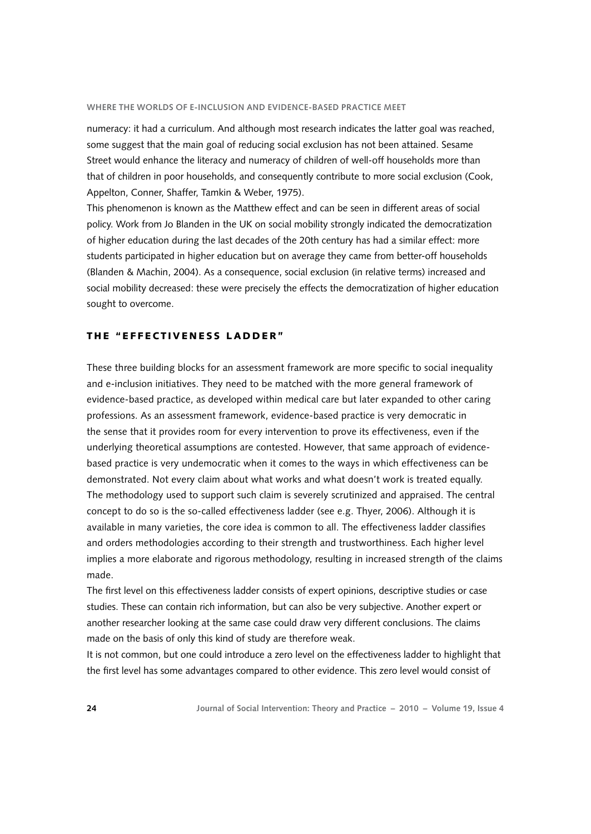numeracy: it had a curriculum. And although most research indicates the latter goal was reached, some suggest that the main goal of reducing social exclusion has not been attained. Sesame Street would enhance the literacy and numeracy of children of well-off households more than that of children in poor households, and consequently contribute to more social exclusion (Cook, Appelton, Conner, Shaffer, Tamkin & Weber, 1975).

This phenomenon is known as the Matthew effect and can be seen in different areas of social policy. Work from Jo Blanden in the UK on social mobility strongly indicated the democratization of higher education during the last decades of the 20th century has had a similar effect: more students participated in higher education but on average they came from better-off households (Blanden & Machin, 2004). As a consequence, social exclusion (in relative terms) increased and social mobility decreased: these were precisely the effects the democratization of higher education sought to overcome.

## THE "EFFECTIVENESS LADDER"

These three building blocks for an assessment framework are more specific to social inequality and e-inclusion initiatives. They need to be matched with the more general framework of evidence-based practice, as developed within medical care but later expanded to other caring professions. As an assessment framework, evidence-based practice is very democratic in the sense that it provides room for every intervention to prove its effectiveness, even if the underlying theoretical assumptions are contested. However, that same approach of evidencebased practice is very undemocratic when it comes to the ways in which effectiveness can be demonstrated. Not every claim about what works and what doesn't work is treated equally. The methodology used to support such claim is severely scrutinized and appraised. The central concept to do so is the so-called effectiveness ladder (see e.g. Thyer, 2006). Although it is available in many varieties, the core idea is common to all. The effectiveness ladder classifies and orders methodologies according to their strength and trustworthiness. Each higher level implies a more elaborate and rigorous methodology, resulting in increased strength of the claims made.

The first level on this effectiveness ladder consists of expert opinions, descriptive studies or case studies. These can contain rich information, but can also be very subjective. Another expert or another researcher looking at the same case could draw very different conclusions. The claims made on the basis of only this kind of study are therefore weak.

It is not common, but one could introduce a zero level on the effectiveness ladder to highlight that the first level has some advantages compared to other evidence. This zero level would consist of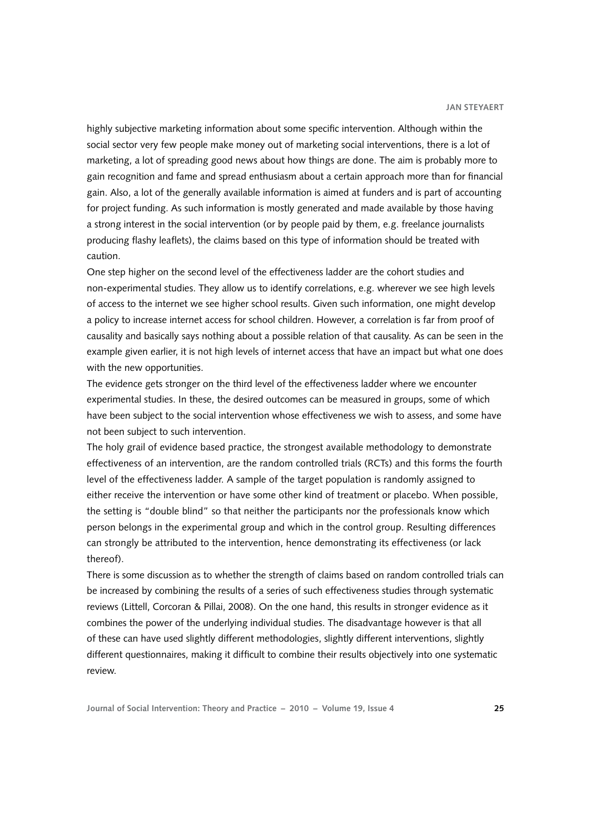highly subjective marketing information about some specific intervention. Although within the social sector very few people make money out of marketing social interventions, there is a lot of marketing, a lot of spreading good news about how things are done. The aim is probably more to gain recognition and fame and spread enthusiasm about a certain approach more than for financial gain. Also, a lot of the generally available information is aimed at funders and is part of accounting for project funding. As such information is mostly generated and made available by those having a strong interest in the social intervention (or by people paid by them, e.g. freelance journalists producing flashy leaflets), the claims based on this type of information should be treated with caution.

One step higher on the second level of the effectiveness ladder are the cohort studies and non-experimental studies. They allow us to identify correlations, e.g. wherever we see high levels of access to the internet we see higher school results. Given such information, one might develop a policy to increase internet access for school children. However, a correlation is far from proof of causality and basically says nothing about a possible relation of that causality. As can be seen in the example given earlier, it is not high levels of internet access that have an impact but what one does with the new opportunities.

The evidence gets stronger on the third level of the effectiveness ladder where we encounter experimental studies. In these, the desired outcomes can be measured in groups, some of which have been subject to the social intervention whose effectiveness we wish to assess, and some have not been subject to such intervention.

The holy grail of evidence based practice, the strongest available methodology to demonstrate effectiveness of an intervention, are the random controlled trials (RCTs) and this forms the fourth level of the effectiveness ladder. A sample of the target population is randomly assigned to either receive the intervention or have some other kind of treatment or placebo. When possible, the setting is "double blind" so that neither the participants nor the professionals know which person belongs in the experimental group and which in the control group. Resulting differences can strongly be attributed to the intervention, hence demonstrating its effectiveness (or lack thereof).

There is some discussion as to whether the strength of claims based on random controlled trials can be increased by combining the results of a series of such effectiveness studies through systematic reviews (Littell, Corcoran & Pillai, 2008). On the one hand, this results in stronger evidence as it combines the power of the underlying individual studies. The disadvantage however is that all of these can have used slightly different methodologies, slightly different interventions, slightly different questionnaires, making it difficult to combine their results objectively into one systematic review.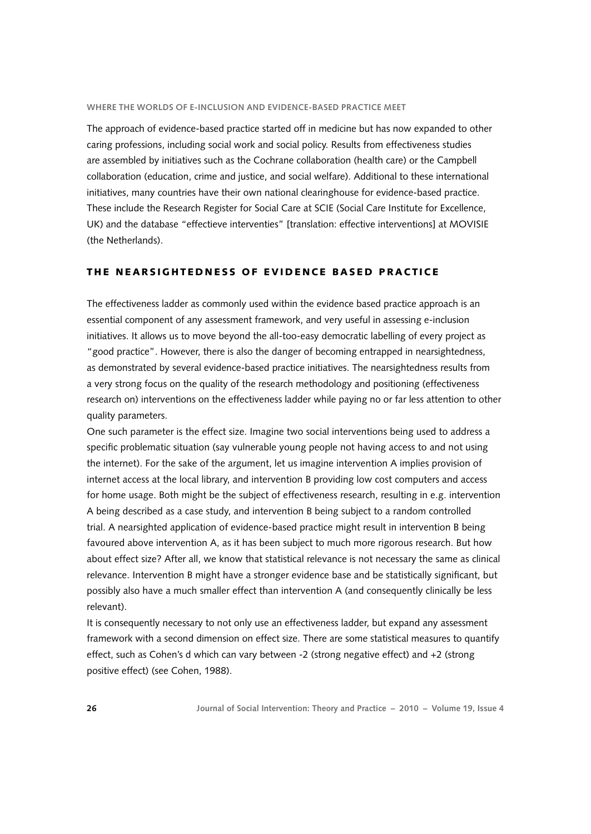The approach of evidence-based practice started off in medicine but has now expanded to other caring professions, including social work and social policy. Results from effectiveness studies are assembled by initiatives such as the Cochrane collaboration (health care) or the Campbell collaboration (education, crime and justice, and social welfare). Additional to these international initiatives, many countries have their own national clearinghouse for evidence-based practice. These include the Research Register for Social Care at SCIE (Social Care Institute for Excellence, UK) and the database "effectieve interventies" [translation: effective interventions] at MOVISIE (the Netherlands).

# THE NEARSIGHTEDNESS OF EVIDENCE BASED PRACTICE

The effectiveness ladder as commonly used within the evidence based practice approach is an essential component of any assessment framework, and very useful in assessing e-inclusion initiatives. It allows us to move beyond the all-too-easy democratic labelling of every project as "good practice". However, there is also the danger of becoming entrapped in nearsightedness, as demonstrated by several evidence-based practice initiatives. The nearsightedness results from a very strong focus on the quality of the research methodology and positioning (effectiveness research on) interventions on the effectiveness ladder while paying no or far less attention to other quality parameters.

One such parameter is the effect size. Imagine two social interventions being used to address a specific problematic situation (say vulnerable young people not having access to and not using the internet). For the sake of the argument, let us imagine intervention A implies provision of internet access at the local library, and intervention B providing low cost computers and access for home usage. Both might be the subject of effectiveness research, resulting in e.g. intervention A being described as a case study, and intervention B being subject to a random controlled trial. A nearsighted application of evidence-based practice might result in intervention B being favoured above intervention A, as it has been subject to much more rigorous research. But how about effect size? After all, we know that statistical relevance is not necessary the same as clinical relevance. Intervention B might have a stronger evidence base and be statistically significant, but possibly also have a much smaller effect than intervention A (and consequently clinically be less relevant).

It is consequently necessary to not only use an effectiveness ladder, but expand any assessment framework with a second dimension on effect size. There are some statistical measures to quantify effect, such as Cohen's d which can vary between -2 (strong negative effect) and +2 (strong positive effect) (see Cohen, 1988).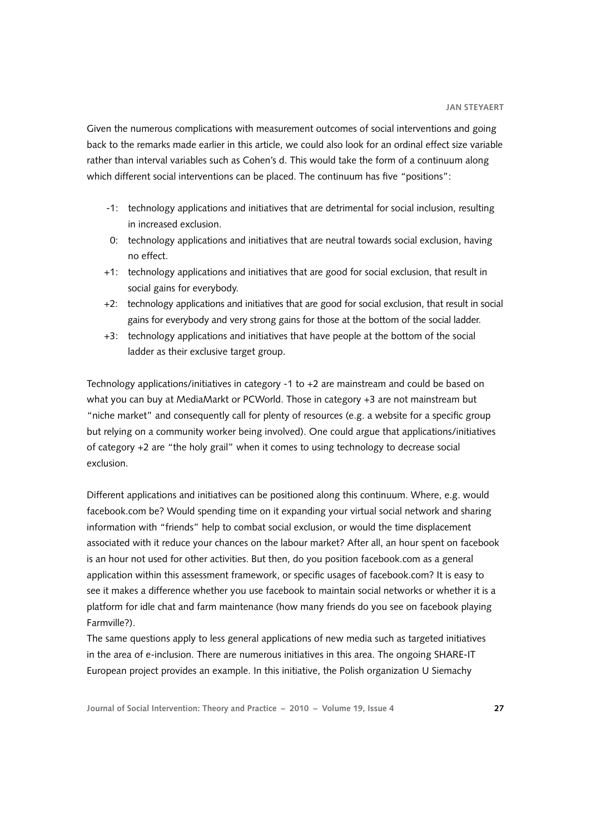Given the numerous complications with measurement outcomes of social interventions and going back to the remarks made earlier in this article, we could also look for an ordinal effect size variable rather than interval variables such as Cohen's d. This would take the form of a continuum along which different social interventions can be placed. The continuum has five "positions":

- -1: technology applications and initiatives that are detrimental for social inclusion, resulting in increased exclusion.
- 0: technology applications and initiatives that are neutral towards social exclusion, having no effect.
- +1: technology applications and initiatives that are good for social exclusion, that result in social gains for everybody.
- +2: technology applications and initiatives that are good for social exclusion, that result in social gains for everybody and very strong gains for those at the bottom of the social ladder.
- +3: technology applications and initiatives that have people at the bottom of the social ladder as their exclusive target group.

Technology applications/initiatives in category -1 to +2 are mainstream and could be based on what you can buy at MediaMarkt or PCWorld. Those in category +3 are not mainstream but "niche market" and consequently call for plenty of resources (e.g. a website for a specific group but relying on a community worker being involved). One could argue that applications/initiatives of category +2 are "the holy grail" when it comes to using technology to decrease social exclusion.

Different applications and initiatives can be positioned along this continuum. Where, e.g. would facebook.com be? Would spending time on it expanding your virtual social network and sharing information with "friends" help to combat social exclusion, or would the time displacement associated with it reduce your chances on the labour market? After all, an hour spent on facebook is an hour not used for other activities. But then, do you position facebook.com as a general application within this assessment framework, or specific usages of facebook.com? It is easy to see it makes a difference whether you use facebook to maintain social networks or whether it is a platform for idle chat and farm maintenance (how many friends do you see on facebook playing Farmville?).

The same questions apply to less general applications of new media such as targeted initiatives in the area of e-inclusion. There are numerous initiatives in this area. The ongoing SHARE-IT European project provides an example. In this initiative, the Polish organization U Siemachy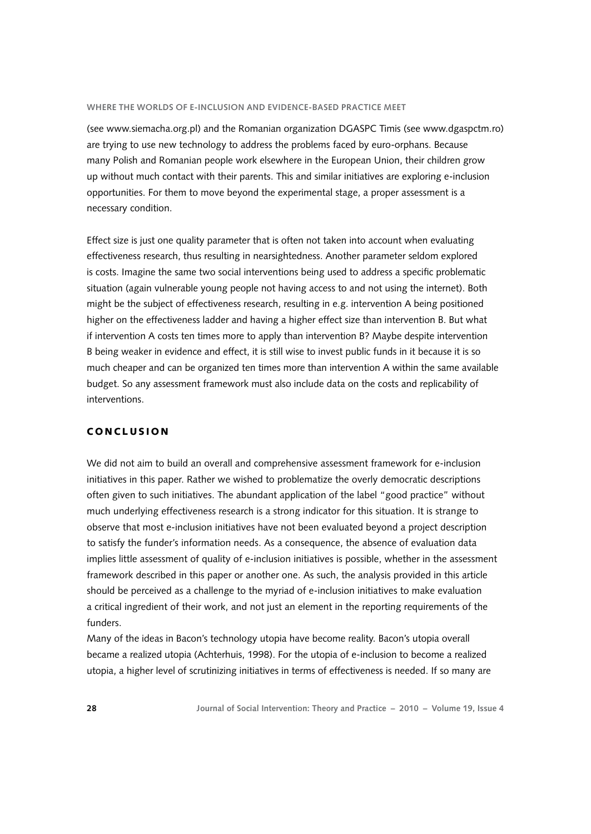(see [www.siemacha.org.pl](http://www.siemacha.org.pl)) and the Romanian organization DGASPC Timis (see [www.dgaspctm.ro](http://www.dgaspctm.ro)) are trying to use new technology to address the problems faced by euro-orphans. Because many Polish and Romanian people work elsewhere in the European Union, their children grow up without much contact with their parents. This and similar initiatives are exploring e-inclusion opportunities. For them to move beyond the experimental stage, a proper assessment is a necessary condition.

Effect size is just one quality parameter that is often not taken into account when evaluating effectiveness research, thus resulting in nearsightedness. Another parameter seldom explored is costs. Imagine the same two social interventions being used to address a specific problematic situation (again vulnerable young people not having access to and not using the internet). Both might be the subject of effectiveness research, resulting in e.g. intervention A being positioned higher on the effectiveness ladder and having a higher effect size than intervention B. But what if intervention A costs ten times more to apply than intervention B? Maybe despite intervention B being weaker in evidence and effect, it is still wise to invest public funds in it because it is so much cheaper and can be organized ten times more than intervention A within the same available budget. So any assessment framework must also include data on the costs and replicability of interventions.

# **CONCLUSION**

We did not aim to build an overall and comprehensive assessment framework for e-inclusion initiatives in this paper. Rather we wished to problematize the overly democratic descriptions often given to such initiatives. The abundant application of the label "good practice" without much underlying effectiveness research is a strong indicator for this situation. It is strange to observe that most e-inclusion initiatives have not been evaluated beyond a project description to satisfy the funder's information needs. As a consequence, the absence of evaluation data implies little assessment of quality of e-inclusion initiatives is possible, whether in the assessment framework described in this paper or another one. As such, the analysis provided in this article should be perceived as a challenge to the myriad of e-inclusion initiatives to make evaluation a critical ingredient of their work, and not just an element in the reporting requirements of the funders.

Many of the ideas in Bacon's technology utopia have become reality. Bacon's utopia overall became a realized utopia (Achterhuis, 1998). For the utopia of e-inclusion to become a realized utopia, a higher level of scrutinizing initiatives in terms of effectiveness is needed. If so many are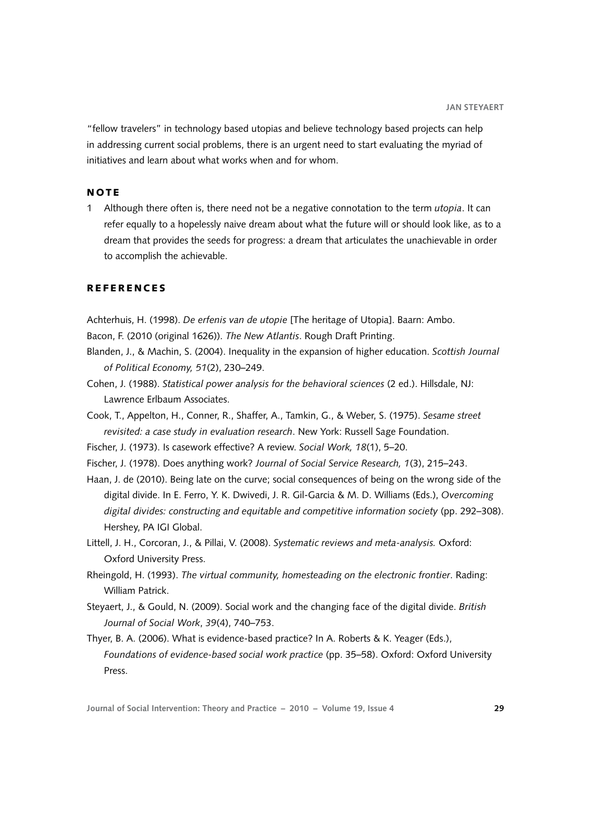<span id="page-10-0"></span>"fellow travelers" in technology based utopias and believe technology based projects can help in addressing current social problems, there is an urgent need to start evaluating the myriad of initiatives and learn about what works when and for whom.

## **NOTE**

1 Although there often is, there need not be a negative connotation to the term *utopia*. It can refer equally to a hopelessly naive dream about what the future will or should look like, as to a dream that provides the seeds for progress: a dream that articulates the unachievable in order to accomplish the achievable.

## R E F E R E N C E S

Achterhuis, H. (1998). *De erfenis van de utopie* [The heritage of Utopia]. Baarn: Ambo.

Bacon, F. (2010 (original 1626)). *The New Atlantis*. Rough Draft Printing.

- Blanden, J., & Machin, S. (2004). Inequality in the expansion of higher education. *Scottish Journal of Political Economy, 51*(2), 230–249.
- Cohen, J. (1988). *Statistical power analysis for the behavioral sciences* (2 ed.). Hillsdale, NJ: Lawrence Erlbaum Associates.
- Cook, T., Appelton, H., Conner, R., Shaffer, A., Tamkin, G., & Weber, S. (1975). *Sesame street revisited: a case study in evaluation research*. New York: Russell Sage Foundation.
- Fischer, J. (1973). Is casework effective? A review. *Social Work, 18*(1), 5–20.
- Fischer, J. (1978). Does anything work? *Journal of Social Service Research, 1*(3), 215–243.
- Haan, J. de (2010). Being late on the curve; social consequences of being on the wrong side of the digital divide. In E. Ferro, Y. K. Dwivedi, J. R. Gil-Garcia & M. D. Williams (Eds.), *Overcoming digital divides: constructing and equitable and competitive information society* (pp. 292–308). Hershey, PA IGI Global.
- Littell, J. H., Corcoran, J., & Pillai, V. (2008). *Systematic reviews and meta-analysis.* Oxford: Oxford University Press.
- Rheingold, H. (1993). *The virtual community, homesteading on the electronic frontier*. Rading: William Patrick.
- Steyaert, J., & Gould, N. (2009). Social work and the changing face of the digital divide. *British Journal of Social Work*, *39*(4), 740–753.
- Thyer, B. A. (2006). What is evidence-based practice? In A. Roberts & K. Yeager (Eds.), *Foundations of evidence-based social work practice* (pp. 35–58). Oxford: Oxford University Press.